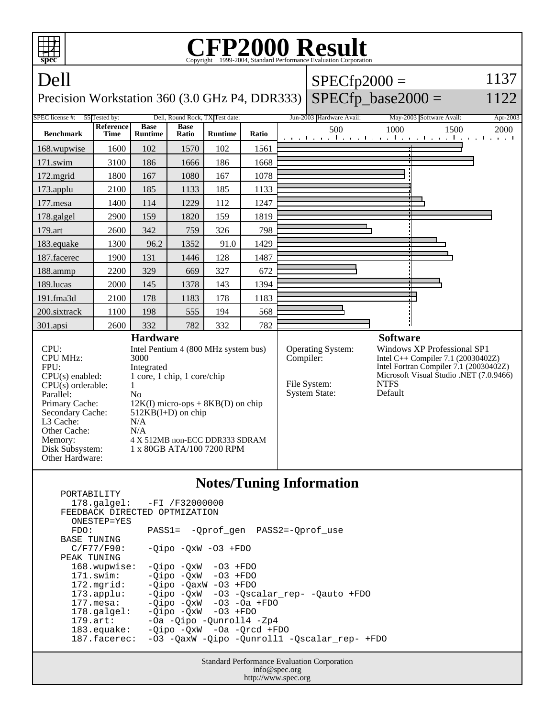| <b>CFP2000 Result</b><br>Copyright ©1999-2004, Standard Performance Evaluation Corporation<br>spec                                                                     |                                                                                                                                                                                                                                                                |                               |                      |                |           |                                                                  |                                                                                                                                                                                         |                 |                                                          |          |
|------------------------------------------------------------------------------------------------------------------------------------------------------------------------|----------------------------------------------------------------------------------------------------------------------------------------------------------------------------------------------------------------------------------------------------------------|-------------------------------|----------------------|----------------|-----------|------------------------------------------------------------------|-----------------------------------------------------------------------------------------------------------------------------------------------------------------------------------------|-----------------|----------------------------------------------------------|----------|
| Dell                                                                                                                                                                   |                                                                                                                                                                                                                                                                |                               |                      |                |           |                                                                  | 1137<br>$SPECfp2000 =$                                                                                                                                                                  |                 |                                                          |          |
| Precision Workstation 360 (3.0 GHz P4, DDR333)                                                                                                                         |                                                                                                                                                                                                                                                                |                               |                      |                |           |                                                                  | $SPECfp\_base2000 =$                                                                                                                                                                    |                 |                                                          | 1122     |
| Dell, Round Rock, TX Test date:<br>55 Tested by:<br>SPEC license #:                                                                                                    |                                                                                                                                                                                                                                                                |                               |                      |                |           |                                                                  | Jun-2003 Hardware Avail:                                                                                                                                                                |                 | May-2003 Software Avail:                                 | Apr-2003 |
| <b>Benchmark</b>                                                                                                                                                       | Reference<br><b>Time</b>                                                                                                                                                                                                                                       | <b>Base</b><br><b>Runtime</b> | <b>Base</b><br>Ratio | <b>Runtime</b> | Ratio     |                                                                  | 500                                                                                                                                                                                     | 1000            | 1500<br>المتوجبا وتوجا وتوجا وتوجا وتوجا وتوجا وتوجا وتو | 2000     |
| 168.wupwise                                                                                                                                                            | 1600                                                                                                                                                                                                                                                           | 102                           | 1570                 | 102            | 1561      |                                                                  |                                                                                                                                                                                         |                 |                                                          |          |
| 171.swim                                                                                                                                                               | 3100                                                                                                                                                                                                                                                           | 186                           | 1666                 | 186            | 1668      |                                                                  |                                                                                                                                                                                         |                 |                                                          |          |
| 172.mgrid                                                                                                                                                              | 1800                                                                                                                                                                                                                                                           | 167                           | 1080                 | 167            | 1078      |                                                                  |                                                                                                                                                                                         |                 |                                                          |          |
| 173.applu                                                                                                                                                              | 2100                                                                                                                                                                                                                                                           | 185                           | 1133                 | 185            | 1133      |                                                                  |                                                                                                                                                                                         |                 |                                                          |          |
| 177.mesa                                                                                                                                                               | 1400                                                                                                                                                                                                                                                           | 114                           | 1229                 | 112            | 1247      |                                                                  |                                                                                                                                                                                         |                 |                                                          |          |
| 178.galgel                                                                                                                                                             | 2900                                                                                                                                                                                                                                                           | 159                           | 1820                 | 159            | 1819      |                                                                  |                                                                                                                                                                                         |                 |                                                          |          |
| 179.art                                                                                                                                                                | 2600                                                                                                                                                                                                                                                           | 342                           | 759                  | 326            | 798       |                                                                  |                                                                                                                                                                                         |                 |                                                          |          |
| 183.equake                                                                                                                                                             | 1300                                                                                                                                                                                                                                                           | 96.2                          | 1352                 | 91.0           | 1429      |                                                                  |                                                                                                                                                                                         |                 |                                                          |          |
| 187.facerec                                                                                                                                                            | 1900                                                                                                                                                                                                                                                           | 131                           | 1446                 | 128            | 1487      |                                                                  |                                                                                                                                                                                         |                 |                                                          |          |
| 188.ammp                                                                                                                                                               | 2200                                                                                                                                                                                                                                                           | 329                           | 669                  | 327            | 672       |                                                                  |                                                                                                                                                                                         |                 |                                                          |          |
| 189.lucas                                                                                                                                                              | 2000                                                                                                                                                                                                                                                           | 145                           | 1378                 | 143            | 1394      |                                                                  |                                                                                                                                                                                         |                 |                                                          |          |
| 191.fma3d                                                                                                                                                              | 2100                                                                                                                                                                                                                                                           | 178                           | 1183                 | 178            | 1183      |                                                                  |                                                                                                                                                                                         |                 |                                                          |          |
| 200.sixtrack                                                                                                                                                           | 1100                                                                                                                                                                                                                                                           | 198                           | 555                  | 194            | 568       |                                                                  |                                                                                                                                                                                         |                 |                                                          |          |
| 301.apsi                                                                                                                                                               | 2600                                                                                                                                                                                                                                                           | 332                           | 782                  | 332            | 782       |                                                                  |                                                                                                                                                                                         |                 |                                                          |          |
| <b>Hardware</b>                                                                                                                                                        |                                                                                                                                                                                                                                                                |                               |                      |                |           |                                                                  |                                                                                                                                                                                         | <b>Software</b> |                                                          |          |
| CPU:<br><b>CPU MHz:</b><br>FPU:<br>$CPU(s)$ enabled:<br>$CPU(s)$ orderable:<br>Parallel:<br>Primary Cache:<br>Secondary Cache:<br>L3 Cache:<br>Other Cache:<br>Memory: | Intel Pentium 4 (800 MHz system bus)<br>3000<br>Integrated<br>1 core, 1 chip, 1 core/chip<br>1<br>N <sub>0</sub><br>$12K(I)$ micro-ops + $8KB(D)$ on chip<br>$512KB(I+D)$ on chip<br>N/A<br>N/A<br>4 X 512MB non-ECC DDR333 SDRAM<br>1 x 80GB ATA/100 7200 RPM |                               |                      |                | Compiler: | <b>Operating System:</b><br>File System:<br><b>System State:</b> | <b>Windows XP Professional SP1</b><br>Intel C++ Compiler 7.1 (20030402Z)<br>Intel Fortran Compiler 7.1 (20030402Z)<br>Microsoft Visual Studio .NET (7.0.9466)<br><b>NTFS</b><br>Default |                 |                                                          |          |
| Disk Subsystem:<br>Other Hardware:<br><b>Notes/Tuning Information</b><br>PORTABILITY                                                                                   |                                                                                                                                                                                                                                                                |                               |                      |                |           |                                                                  |                                                                                                                                                                                         |                 |                                                          |          |

| $178.\text{qalgel}: -FI /F32000000$<br>FEEDBACK DIRECTED OPTMIZATION<br>ONESTEP=YES |                                              |  |  |  |  |  |  |
|-------------------------------------------------------------------------------------|----------------------------------------------|--|--|--|--|--|--|
| FDO:                                                                                | PASS1= -Oprof gen PASS2=-Oprof use           |  |  |  |  |  |  |
| <b>BASE TUNING</b>                                                                  |                                              |  |  |  |  |  |  |
| C/F77/F90:                                                                          | $-Oipo -OXW -O3 + FDO$                       |  |  |  |  |  |  |
| PEAK TUNING                                                                         |                                              |  |  |  |  |  |  |
| 168.wupwise:                                                                        | $-Oipo -OXW -O3 + FDO$                       |  |  |  |  |  |  |
| $171$ .swim:                                                                        | $-Oipo$ $-OxW$ $-O3$ $+FDO$                  |  |  |  |  |  |  |
| $172.\text{mgrid}:$                                                                 | $-Oipo$ $-OaxW$ $-O3$ $+FDO$                 |  |  |  |  |  |  |
| $173.\text{applu}:$                                                                 | $-Qipo -QxW -O3 -Qscalar rep- -Qauto +FDO$   |  |  |  |  |  |  |
| $177.\text{mesa}$ :                                                                 | $-Oipo -OXW -O3 -Oa + FDO$                   |  |  |  |  |  |  |
| $178.\text{qalgel}$ :                                                               | $-Oipo$ $-OxW$ $-O3$ $+FDO$                  |  |  |  |  |  |  |
| $179.\text{art}$ :                                                                  | -Oa -Qipo -Qunroll4 -Zp4                     |  |  |  |  |  |  |
| 183.equake:                                                                         | $-Oipo$ $-OxW$ $-Oa$ $-Orcd$ $+FDO$          |  |  |  |  |  |  |
| 187.facerec:                                                                        | -03 -QaxW -Qipo -Qunroll1 -Qscalar rep- +FDO |  |  |  |  |  |  |
|                                                                                     |                                              |  |  |  |  |  |  |
|                                                                                     |                                              |  |  |  |  |  |  |

Standard Performance Evaluation Corporation info@spec.org http://www.spec.org